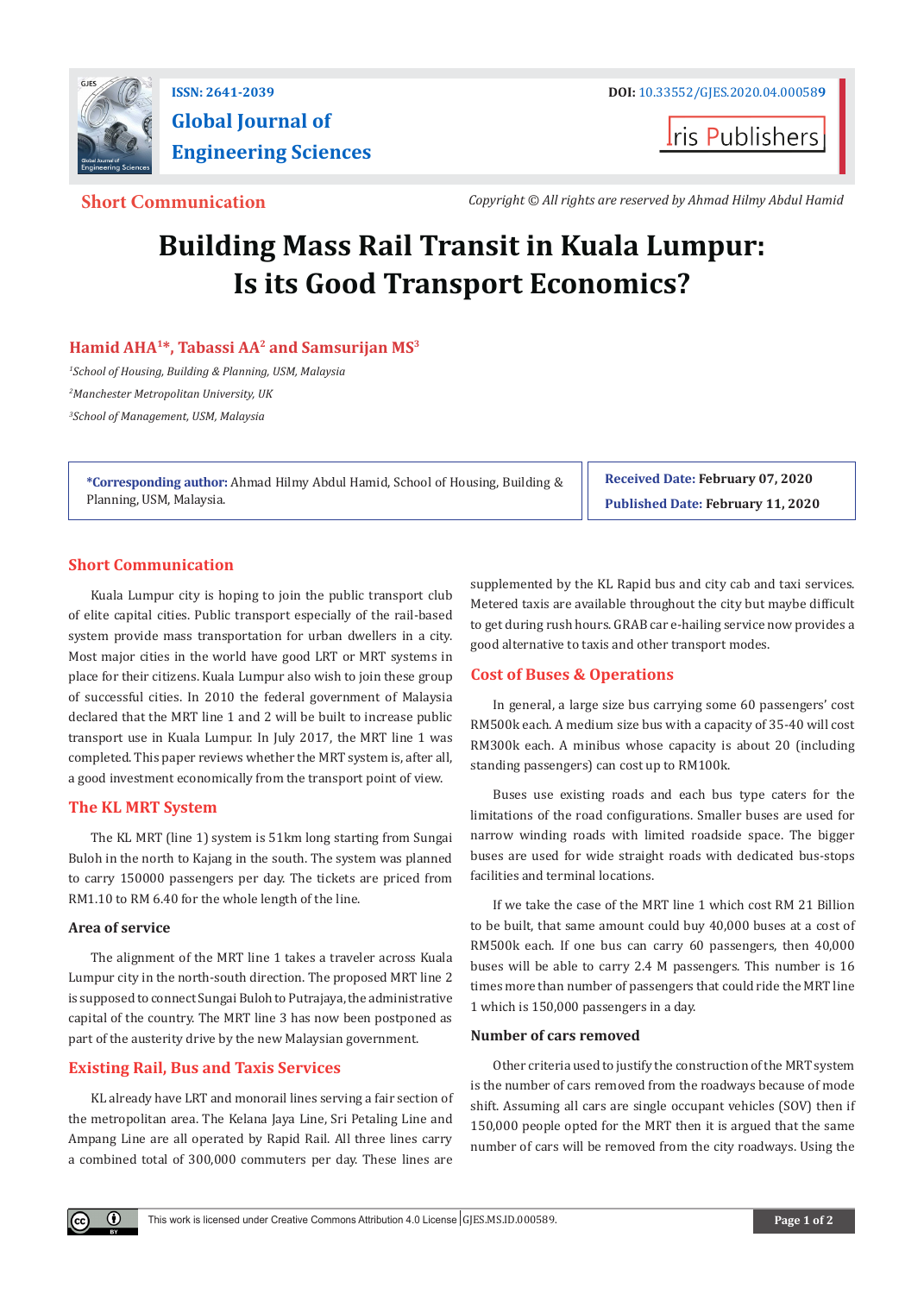

# **Global Journal of Engineering Sciences**

**I**ris Publishers

**Short Communication** *Copyright © All rights are reserved by Ahmad Hilmy Abdul Hamid*

## **Building Mass Rail Transit in Kuala Lumpur: Is its Good Transport Economics?**

### **Hamid AHA1\*, Tabassi AA2 and Samsurijan MS3**

*1 School of Housing, Building & Planning, USM, Malaysia 2 Manchester Metropolitan University, UK 3 School of Management, USM, Malaysia*

**\*Corresponding author:** Ahmad Hilmy Abdul Hamid, School of Housing, Building & Planning, USM, Malaysia.

**Received Date: February 07, 2020 Published Date: February 11, 2020**

### **Short Communication**

Kuala Lumpur city is hoping to join the public transport club of elite capital cities. Public transport especially of the rail-based system provide mass transportation for urban dwellers in a city. Most major cities in the world have good LRT or MRT systems in place for their citizens. Kuala Lumpur also wish to join these group of successful cities. In 2010 the federal government of Malaysia declared that the MRT line 1 and 2 will be built to increase public transport use in Kuala Lumpur. In July 2017, the MRT line 1 was completed. This paper reviews whether the MRT system is, after all, a good investment economically from the transport point of view.

#### **The KL MRT System**

The KL MRT (line 1) system is 51km long starting from Sungai Buloh in the north to Kajang in the south. The system was planned to carry 150000 passengers per day. The tickets are priced from RM1.10 to RM 6.40 for the whole length of the line.

#### **Area of service**

 $\mathbf \Theta$ 

The alignment of the MRT line 1 takes a traveler across Kuala Lumpur city in the north-south direction. The proposed MRT line 2 is supposed to connect Sungai Buloh to Putrajaya, the administrative capital of the country. The MRT line 3 has now been postponed as part of the austerity drive by the new Malaysian government.

#### **Existing Rail, Bus and Taxis Services**

KL already have LRT and monorail lines serving a fair section of the metropolitan area. The Kelana Jaya Line, Sri Petaling Line and Ampang Line are all operated by Rapid Rail. All three lines carry a combined total of 300,000 commuters per day. These lines are

supplemented by the KL Rapid bus and city cab and taxi services. Metered taxis are available throughout the city but maybe difficult to get during rush hours. GRAB car e-hailing service now provides a good alternative to taxis and other transport modes.

#### **Cost of Buses & Operations**

In general, a large size bus carrying some 60 passengers' cost RM500k each. A medium size bus with a capacity of 35-40 will cost RM300k each. A minibus whose capacity is about 20 (including standing passengers) can cost up to RM100k.

Buses use existing roads and each bus type caters for the limitations of the road configurations. Smaller buses are used for narrow winding roads with limited roadside space. The bigger buses are used for wide straight roads with dedicated bus-stops facilities and terminal locations.

If we take the case of the MRT line 1 which cost RM 21 Billion to be built, that same amount could buy 40,000 buses at a cost of RM500k each. If one bus can carry 60 passengers, then 40,000 buses will be able to carry 2.4 M passengers. This number is 16 times more than number of passengers that could ride the MRT line 1 which is 150,000 passengers in a day.

#### **Number of cars removed**

Other criteria used to justify the construction of the MRT system is the number of cars removed from the roadways because of mode shift. Assuming all cars are single occupant vehicles (SOV) then if 150,000 people opted for the MRT then it is argued that the same number of cars will be removed from the city roadways. Using the